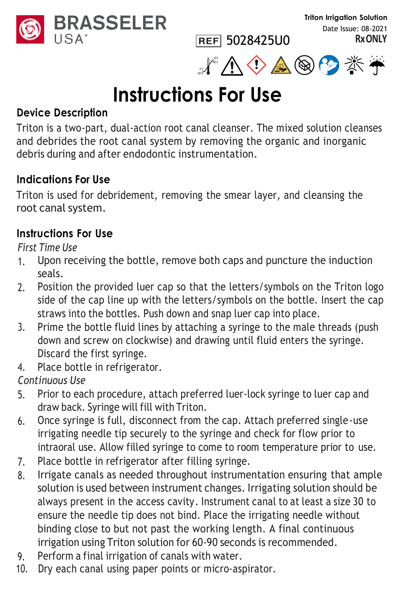



**REF** 5028425U0

# **Instructions For Use**

#### **Device Description**

Triton is a two-part, dual-action root canal cleanser. The mixed solution cleanses and debrides the root canal system by removing the organic and inorganic debris during and after endodontic instrumentation.

#### **Indications For Use**

Triton is used for debridement, removing the smear layer, and cleansing the root canal system.

#### **Instructions For Use**

*First Time Use*

- 1. Upon receiving the bottle, remove both caps and puncture the induction seals.
- 2. Position the provided luer cap so that the letters/symbols on the Triton logo side of the cap line up with the letters/symbols on the bottle. Insert the cap straws into the bottles. Push down and snap luer cap into place.
- 3. Prime the bottle fluid lines by attaching a syringe to the male threads (push down and screw on clockwise) and drawing until fluid enters the syringe. Discard the first syringe.
- 4. Place bottle in refrigerator.

*Continuous Use*

- 5. Prior to each procedure, attach preferred luer-lock syringe to luer cap and draw back. Syringe will fill with Triton.
- 6. Once syringe is full, disconnect from the cap. Attach preferred single-use irrigating needle tip securely to the syringe and check for flow prior to intraoral use. Allow filled syringe to come to room temperature prior to use.
- 7. Place bottle in refrigerator after filling syringe.
- 8. Irrigate canals as needed throughout instrumentation ensuring that ample solution is used between instrument changes. Irrigating solution should be always present in the access cavity. Instrument canal to at least a size 30 to ensure the needle tip does not bind. Place the irrigating needle without binding close to but not past the working length. A final continuous irrigation using Triton solution for 60-90 seconds is recommended.
- 9. Perform a final irrigation of canals with water.<br>10. Dry each canal using paper points or micro-asi
- Dry each canal using paper points or micro-aspirator.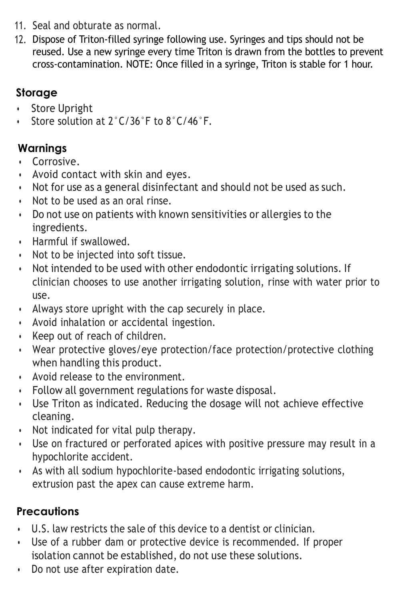- 11. Seal and obturate as normal.
- 12. Dispose of Triton-filled syringe following use. Syringes and tips should not be reused. Use a new syringe every time Triton is drawn from the bottles to prevent cross-contamination. NOTE: Once filled in a syringe, Triton is stable for 1 hour.

## **Storage**

- Store Upright
- Store solution at 2°C/36°F to 8°C/46°F.

### **Warnings**

- Corrosive.
- Avoid contact with skin and eyes.
- Not for use as a general disinfectant and should not be used as such.
- Not to be used as an oral rinse.
- Do not use on patients with known sensitivities or allergies to the ingredients.
- Harmful if swallowed.
- Not to be injected into soft tissue.
- Not intended to be used with other endodontic irrigating solutions. If clinician chooses to use another irrigating solution, rinse with water prior to use.
- Always store upright with the cap securely in place.
- Avoid inhalation or accidental ingestion.
- Keep out of reach of children.
- Wear protective gloves/eye protection/face protection/protective clothing when handling this product.
- Avoid release to the environment.
- Follow all government regulations for waste disposal.
- Use Triton as indicated. Reducing the dosage will not achieve effective cleaning.
- Not indicated for vital pulp therapy.
- Use on fractured or perforated apices with positive pressure may result in a hypochlorite accident.
- As with all sodium hypochlorite-based endodontic irrigating solutions, extrusion past the apex can cause extreme harm.

# **Precautions**

- U.S. law restricts the sale of this device to a dentist or clinician.
- Use of a rubber dam or protective device is recommended. If proper isolation cannot be established, do not use these solutions.
- Do not use after expiration date.